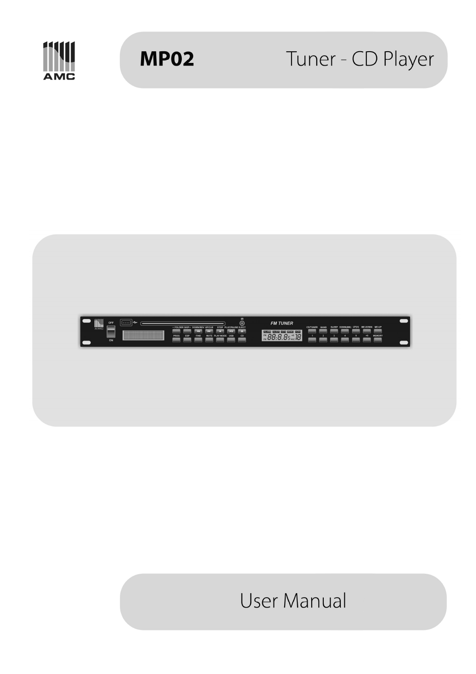

**MP02** 

# Tuner - CD Player



# **User Manual**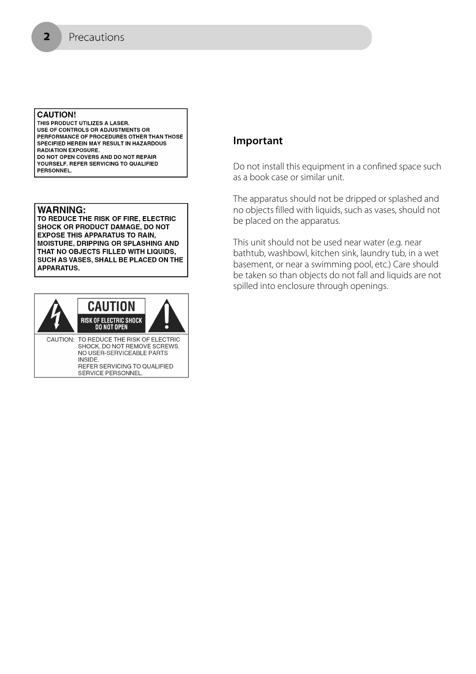#### **CAUTION!**

 $\overline{\mathbf{2}}$ 

THIS PRODUCT UTILIZES A LASER. USE OF CONTROLS OR ADJUSTMENTS OR PERFORMANCE OF PROCEDURES OTHER THAN THOSE SPECIFIED HEREIN MAY RESULT IN HAZARDOUS **RADIATION EXPOSURE.** DO NOT OPEN COVERS AND DO NOT REPAIR YOURSELF. REFER SERVICING TO QUALIFIED **PERSONNEL** 

#### **WARNING:**

TO REDUCE THE RISK OF FIRE, ELECTRIC **SHOCK OR PRODUCT DAMAGE, DO NOT EXPOSE THIS APPARATUS TO RAIN, MOISTURE, DRIPPING OR SPLASHING AND** THAT NO OBJECTS FILLED WITH LIQUIDS, SUCH AS VASES, SHALL BE PLACED ON THE **APPARATUS.** 



# **Important**

Do not install this equipment in a confined space such as a book case or similar unit.

The apparatus should not be dripped or splashed and no objects filled with liquids, such as vases, should not be placed on the apparatus.

This unit should not be used near water (e.g. near bathtub, washbowl, kitchen sink, laundry tub, in a wet basement, or near a swimming pool, etc.) Care should be taken so than objects do not fall and liquids are not spilled into enclosure through openings.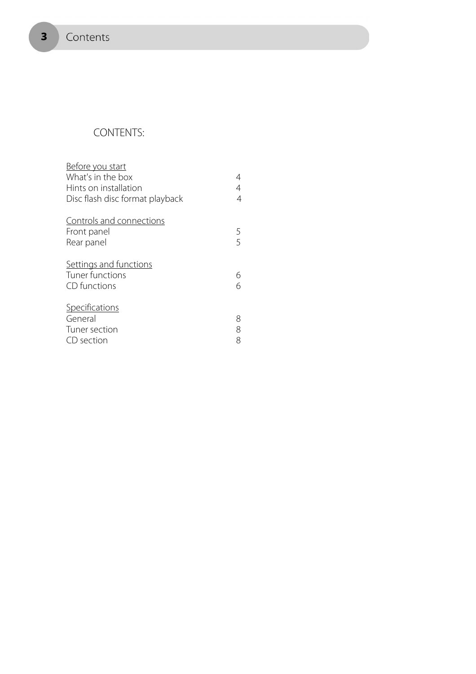# CONTENTS:

| Before you start                |   |
|---------------------------------|---|
| What's in the box               | 4 |
| Hints on installation           | 4 |
| Disc flash disc format playback | 4 |
| Controls and connections        |   |
| Front panel                     | 5 |
| Rear panel                      | 5 |
| Settings and functions          |   |
| Tuner functions                 | 6 |
| CD functions                    | 6 |
| Specifications                  |   |
| General                         | 8 |
| Tuner section                   | 8 |
| CD section                      | 8 |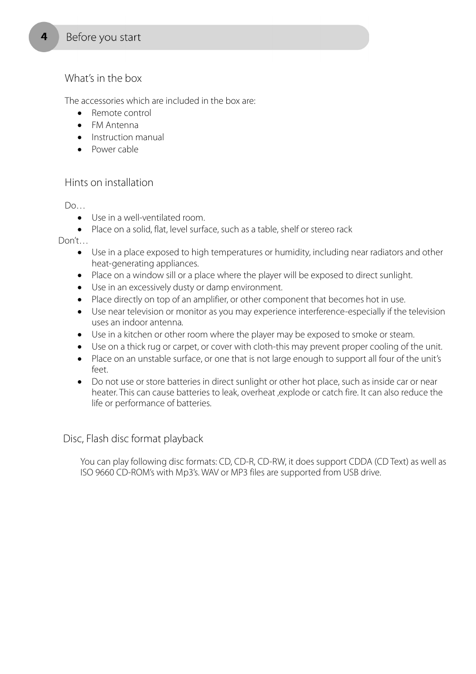# What's in the box

The accessories which are included in the box are:

- Remote control
- FM Antenna
- Instruction manual
- Power cable

# Hints on installation

Do…

- Use in a well-ventilated room.
- Place on a solid, flat, level surface, such as a table, shelf or stereo rack

Don't…

- Use in a place exposed to high temperatures or humidity, including near radiators and other heat-generating appliances.
- Place on a window sill or a place where the player will be exposed to direct sunlight.
- Use in an excessively dusty or damp environment.
- Place directly on top of an amplifier, or other component that becomes hot in use.
- Use near television or monitor as you may experience interference-especially if the television uses an indoor antenna.
- Use in a kitchen or other room where the player may be exposed to smoke or steam.
- Use on a thick rug or carpet, or cover with cloth-this may prevent proper cooling of the unit.
- Place on an unstable surface, or one that is not large enough to support all four of the unit's feet.
- Do not use or store batteries in direct sunlight or other hot place, such as inside car or near heater. This can cause batteries to leak, overheat ,explode or catch fire. It can also reduce the life or performance of batteries.

Disc, Flash disc format playback

You can play following disc formats: CD, CD-R, CD-RW, it does support CDDA (CD Text) as well as ISO 9660 CD-ROM's with Mp3's. WAV or MP3 files are supported from USB drive.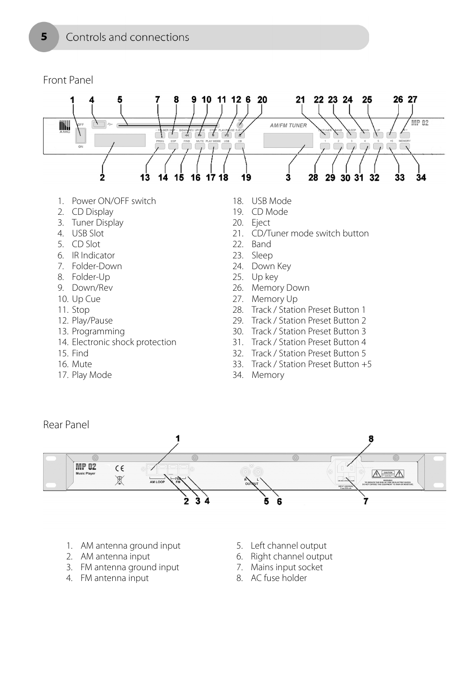# Front Panel



- 8. Folder-Up
- 9. Down/Rev
- 10. Up Cue
- 11. Stop
- 12. Play/Pause
- 13. Programming
- 14. Electronic shock protection
- 15. Find
- 16. Mute
- 17. Play Mode
- 25. Up key
- 26. Memory Down
- 27. Memory Up
- 28. Track / Station Preset Button 1
- 29. Track / Station Preset Button 2
- 30. Track / Station Preset Button 3
- 31. Track / Station Preset Button 4
- 32. Track / Station Preset Button 5
- 33. Track / Station Preset Button +5
- 34. Memory



- 1. AM antenna ground input
- 2. AM antenna input
- 3. FM antenna ground input
- 4. FM antenna input
- 5. Left channel output
- 6. Right channel output
- 7. Mains input socket
- 8. AC fuse holder

5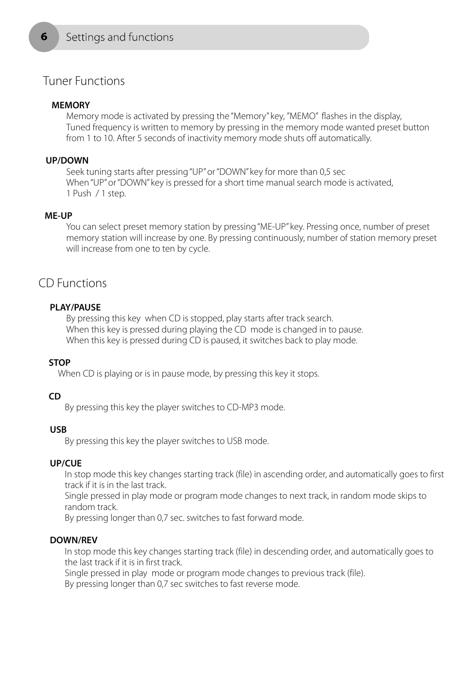# Tuner Functions

## **MEMORY**

ħ

Memory mode is activated by pressing the "Memory" key, "MEMO" flashes in the display, Tuned frequency is written to memory by pressing in the memory mode wanted preset button from 1 to 10. After 5 seconds of inactivity memory mode shuts off automatically.

#### **UP/DOWN**

Seek tuning starts after pressing "UP" or "DOWN" key for more than 0,5 sec When "UP" or "DOWN" key is pressed for a short time manual search mode is activated, 1 Push / 1 step.

#### **ME-UP**

You can select preset memory station by pressing "ME-UP" key. Pressing once, number of preset memory station will increase by one. By pressing continuously, number of station memory preset will increase from one to ten by cycle.

# CD Functions

### **PLAY/PAUSE**

By pressing this key when CD is stopped, play starts after track search. When this key is pressed during playing the CD mode is changed in to pause. When this key is pressed during CD is paused, it switches back to play mode.

#### **STOP**

When CD is playing or is in pause mode, by pressing this key it stops.

#### **CD**

By pressing this key the player switches to CD-MP3 mode.

#### **USB**

By pressing this key the player switches to USB mode.

#### **UP/CUE**

In stop mode this key changes starting track (file) in ascending order, and automatically goes to first track if it is in the last track.

Single pressed in play mode or program mode changes to next track, in random mode skips to random track.

By pressing longer than 0,7 sec. switches to fast forward mode.

#### **DOWN/REV**

In stop mode this key changes starting track (file) in descending order, and automatically goes to the last track if it is in first track.

Single pressed in play mode or program mode changes to previous track (file).

By pressing longer than 0,7 sec switches to fast reverse mode.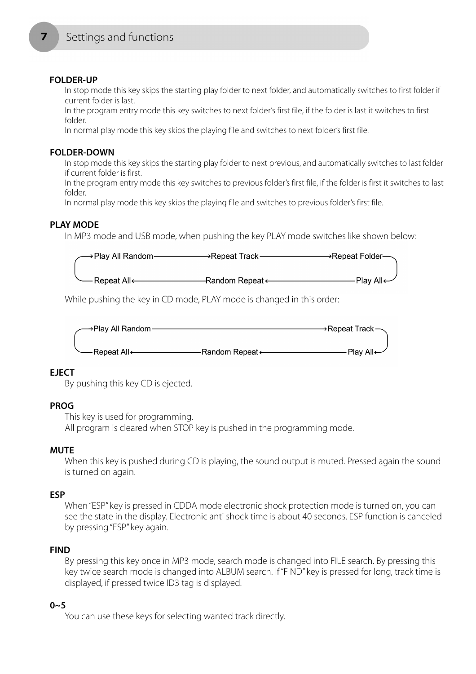## **FOLDER-UP**

In stop mode this key skips the starting play folder to next folder, and automatically switches to first folder if current folder is last.

In the program entry mode this key switches to next folder's first file, if the folder is last it switches to first folder.

In normal play mode this key skips the playing file and switches to next folder's first file.

## **FOLDER-DOWN**

In stop mode this key skips the starting play folder to next previous, and automatically switches to last folder if current folder is first.

In the program entry mode this key switches to previous folder's first file, if the folder is first it switches to last folder.

In normal play mode this key skips the playing file and switches to previous folder's first file.

# **PLAY MODE**

In MP3 mode and USB mode, when pushing the key PLAY mode switches like shown below:

| $\rightarrow$ Play All Random- | →Repeat Track <i>·</i> | →Repeat Folder—       |
|--------------------------------|------------------------|-----------------------|
|                                |                        |                       |
| - Repeat All <i>←</i>          |                        | Play All $\leftarrow$ |

While pushing the key in CD mode, PLAY mode is changed in this order:



# **EJECT**

By pushing this key CD is ejected.

# **PROG**

This key is used for programming. All program is cleared when STOP key is pushed in the programming mode.

# **MUTE**

When this key is pushed during CD is playing, the sound output is muted. Pressed again the sound is turned on again.

# **ESP**

When "ESP" key is pressed in CDDA mode electronic shock protection mode is turned on, you can see the state in the display. Electronic anti shock time is about 40 seconds. ESP function is canceled by pressing "ESP" key again.

# **FIND**

By pressing this key once in MP3 mode, search mode is changed into FILE search. By pressing this key twice search mode is changed into ALBUM search. If "FIND" key is pressed for long, track time is displayed, if pressed twice ID3 tag is displayed.

# **0~5**

You can use these keys for selecting wanted track directly.